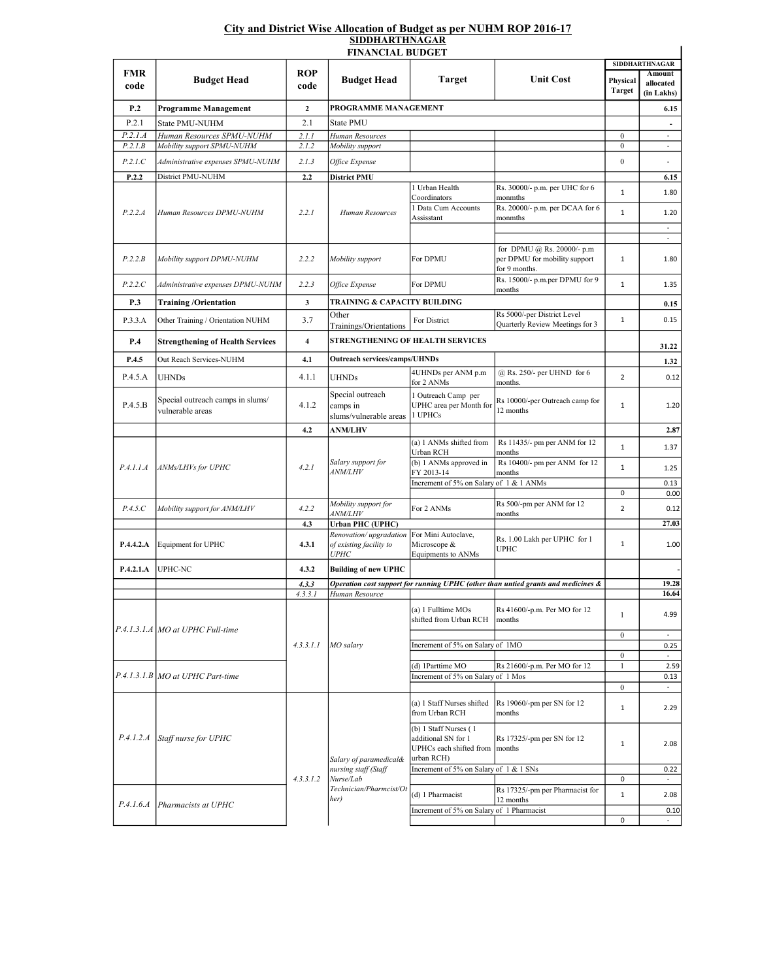## City and District Wise Allocation of Budget as per NUHM ROP 2016-17 <u>SIDDHARTHNAGAR</u>

| <u>SIDDHAN I HIMAGAN</u><br><b>FINANCIAL BUDGET</b> |                                                      |                    |                                                                                                |                                                                                                                |                                                                                   |                           |                                   |  |  |  |  |  |
|-----------------------------------------------------|------------------------------------------------------|--------------------|------------------------------------------------------------------------------------------------|----------------------------------------------------------------------------------------------------------------|-----------------------------------------------------------------------------------|---------------------------|-----------------------------------|--|--|--|--|--|
|                                                     |                                                      |                    |                                                                                                |                                                                                                                |                                                                                   | <b>SIDDHARTHNAGAR</b>     |                                   |  |  |  |  |  |
| FMR<br>code                                         | <b>Budget Head</b>                                   | <b>ROP</b><br>code | <b>Budget Head</b>                                                                             | <b>Target</b>                                                                                                  | <b>Unit Cost</b>                                                                  | Physical<br><b>Target</b> | Amount<br>allocated<br>(in Lakhs) |  |  |  |  |  |
| P.2                                                 | <b>Programme Management</b>                          | $\mathbf{2}$       | PROGRAMME MANAGEMENT                                                                           |                                                                                                                |                                                                                   |                           | 6.15                              |  |  |  |  |  |
| P.2.1                                               | State PMU-NUHM                                       | 2.1                | <b>State PMU</b>                                                                               |                                                                                                                |                                                                                   |                           |                                   |  |  |  |  |  |
| P.2.1.A                                             | Human Resources SPMU-NUHM                            | 2.1.1              | Human Resources                                                                                |                                                                                                                |                                                                                   | $\boldsymbol{0}$          | ä,                                |  |  |  |  |  |
| P.2.1.B                                             | Mobility support SPMU-NUHM                           | 2.1.2              | Mobility support                                                                               |                                                                                                                |                                                                                   | $\boldsymbol{0}$          | $\overline{\phantom{a}}$          |  |  |  |  |  |
| P.2.1.C                                             | Administrative expenses SPMU-NUHM                    | 2.1.3              | <i>Office Expense</i>                                                                          |                                                                                                                |                                                                                   | $\boldsymbol{0}$          | $\bar{a}$                         |  |  |  |  |  |
| P.2.2                                               | District PMU-NUHM                                    | 2.2                | <b>District PMU</b>                                                                            |                                                                                                                |                                                                                   |                           | 6.15                              |  |  |  |  |  |
| P.2.2.A                                             | Human Resources DPMU-NUHM                            | 2.2.1              | Human Resources                                                                                | 1 Urban Health                                                                                                 | Rs. 30000/- p.m. per UHC for 6                                                    | $\mathbf 1$               | 1.80                              |  |  |  |  |  |
|                                                     |                                                      |                    |                                                                                                | Coordinators<br>1 Data Cum Accounts<br>Assisstant                                                              | monmths<br>Rs. 20000/- p.m. per DCAA for 6<br>monmths                             | $\mathbf 1$               | 1.20                              |  |  |  |  |  |
|                                                     |                                                      |                    |                                                                                                |                                                                                                                |                                                                                   |                           | $\sim$                            |  |  |  |  |  |
| P.2.2.B                                             | Mobility support DPMU-NUHM                           | 2.2.2              | Mobility support                                                                               | For DPMU                                                                                                       | for DPMU @ Rs. 20000/- p.m<br>per DPMU for mobility support<br>for 9 months.      | $\mathbf 1$               | $\overline{\phantom{a}}$<br>1.80  |  |  |  |  |  |
| P.2.2.C                                             | Administrative expenses DPMU-NUHM                    | 2.2.3              | Office Expense                                                                                 | For DPMU                                                                                                       | Rs. 15000/- p.m.per DPMU for 9<br>months                                          | $\mathbf 1$               | 1.35                              |  |  |  |  |  |
| P.3                                                 | <b>Training/Orientation</b>                          | 3                  | TRAINING & CAPACITY BUILDING                                                                   |                                                                                                                |                                                                                   |                           | 0.15                              |  |  |  |  |  |
| P.3.3.A                                             | Other Training / Orientation NUHM                    | 3.7                | Other<br>Trainings/Orientations                                                                | For District                                                                                                   | Rs 5000/-per District Level<br>Quarterly Review Meetings for 3                    | $\mathbf 1$               | 0.15                              |  |  |  |  |  |
| P.4                                                 | <b>Strengthening of Health Services</b>              | 4                  | STRENGTHENING OF HEALTH SERVICES                                                               |                                                                                                                |                                                                                   | 31.22                     |                                   |  |  |  |  |  |
| P.4.5                                               | Out Reach Services-NUHM                              | 4.1                | <b>Outreach services/camps/UHNDs</b>                                                           |                                                                                                                |                                                                                   |                           | 1.32                              |  |  |  |  |  |
| P.4.5.A                                             | <b>UHNDs</b>                                         | 4.1.1              | UHNDs                                                                                          | 4UHNDs per ANM p.m<br>for 2 ANMs                                                                               | @ Rs. 250/- per UHND for 6<br>months.                                             | $\overline{2}$            | 0.12                              |  |  |  |  |  |
| P.4.5.B                                             | Special outreach camps in slums/<br>vulnerable areas | 4.1.2              | Special outreach<br>camps in<br>slums/vulnerable areas                                         | 1 Outreach Camp per<br>UPHC area per Month for<br>1 UPHCs                                                      | Rs 10000/-per Outreach camp for<br>12 months                                      | $\mathbf 1$               | 1.20                              |  |  |  |  |  |
|                                                     |                                                      | 4.2                | <b>ANM/LHV</b>                                                                                 |                                                                                                                |                                                                                   |                           | 2.87                              |  |  |  |  |  |
| P.4.1.1.A                                           | ANMs/LHVs for UPHC                                   | 4.2.1              | Salary support for<br><i>ANM/LHV</i>                                                           | (a) 1 ANMs shifted from<br>Urban RCH                                                                           | Rs 11435/- pm per ANM for 12<br>months                                            | $\mathbf 1$               | 1.37                              |  |  |  |  |  |
|                                                     |                                                      |                    |                                                                                                | (b) 1 ANMs approved in<br>FY 2013-14                                                                           | Rs 10400/- pm per ANM for 12<br>months                                            | $\mathbf 1$               | 1.25                              |  |  |  |  |  |
|                                                     |                                                      |                    |                                                                                                | Increment of 5% on Salary of 1 & 1 ANMs                                                                        |                                                                                   |                           | 0.13                              |  |  |  |  |  |
|                                                     |                                                      |                    |                                                                                                |                                                                                                                |                                                                                   | 0                         | 0.00                              |  |  |  |  |  |
| P.4.5.C                                             | Mobility support for ANM/LHV                         | 4.2.2              | Mobility support for<br><i>ANM/LHV</i>                                                         | For 2 ANMs                                                                                                     | Rs 500/-pm per ANM for 12<br>months                                               | $\overline{2}$            | 0.12                              |  |  |  |  |  |
|                                                     |                                                      | 4.3                | Urban PHC (UPHC)                                                                               |                                                                                                                |                                                                                   |                           | 27.03                             |  |  |  |  |  |
| P.4.4.2.A                                           | Equipment for UPHC                                   | 4.3.1              | Renovation/upgradation<br>of existing facility to<br><b>UPHC</b>                               | For Mini Autoclave,<br>Microscope &<br>Equipments to ANMs                                                      | Rs. 1.00 Lakh per UPHC for 1<br><b>UPHC</b>                                       | $\mathbf 1$               | 1.00                              |  |  |  |  |  |
| P.4.2.1.A                                           | UPHC-NC                                              | 4.3.2              | <b>Building of new UPHC</b>                                                                    |                                                                                                                |                                                                                   |                           |                                   |  |  |  |  |  |
|                                                     |                                                      | 4.3.3              |                                                                                                |                                                                                                                | Operation cost support for running UPHC (other than untied grants and medicines & |                           | 19.28                             |  |  |  |  |  |
|                                                     |                                                      | 4.3.3.1            | Human Resource                                                                                 |                                                                                                                |                                                                                   |                           | 16.64                             |  |  |  |  |  |
|                                                     | P.4.1.3.1.A MO at UPHC Full-time                     | 4.3.3.1.1          | MO salary                                                                                      | (a) 1 Fulltime MOs<br>shifted from Urban RCH                                                                   | Rs 41600/-p.m. Per MO for 12<br>months                                            | 1                         | 4.99                              |  |  |  |  |  |
|                                                     |                                                      |                    |                                                                                                |                                                                                                                |                                                                                   | $\boldsymbol{0}$          | $\overline{\phantom{a}}$          |  |  |  |  |  |
|                                                     |                                                      |                    |                                                                                                | Increment of 5% on Salary of 1MO                                                                               |                                                                                   | $\boldsymbol{0}$          | 0.25                              |  |  |  |  |  |
|                                                     | $P.4.1.3.1.B$ MO at UPHC Part-time                   |                    |                                                                                                | (d) 1Parttime MO                                                                                               | Rs 21600/-p.m. Per MO for 12                                                      | $\mathbf{1}$              | 2.59                              |  |  |  |  |  |
|                                                     |                                                      |                    |                                                                                                | Increment of 5% on Salary of 1 Mos                                                                             |                                                                                   |                           | 0.13                              |  |  |  |  |  |
|                                                     | P.4.1.2.A Staff nurse for UPHC                       | 4, 3, 3, 1, 2      | Salary of paramedical&<br>nursing staff (Staff<br>Nurse/Lab<br>Technician/Pharmcist/Ot<br>her) | (a) 1 Staff Nurses shifted                                                                                     | Rs 19060/-pm per SN for 12                                                        | $\bf{0}$<br>$\mathbf{1}$  | $\overline{\phantom{a}}$<br>2.29  |  |  |  |  |  |
|                                                     |                                                      |                    |                                                                                                | from Urban RCH<br>(b) 1 Staff Nurses (1<br>additional SN for 1<br>UPHCs each shifted from months<br>urban RCH) | months<br>Rs 17325/-pm per SN for 12                                              | $\mathbf{1}$              | 2.08                              |  |  |  |  |  |
|                                                     |                                                      |                    |                                                                                                | Increment of 5% on Salary of 1 & 1 SNs                                                                         |                                                                                   | 0                         | 0.22<br>$\overline{\phantom{a}}$  |  |  |  |  |  |
|                                                     | P.4.1.6.A Pharmacists at UPHC                        |                    |                                                                                                | (d) 1 Pharmacist                                                                                               | Rs 17325/-pm per Pharmacist for<br>12 months                                      | $\mathbf 1$               | 2.08                              |  |  |  |  |  |
|                                                     |                                                      |                    |                                                                                                | Increment of 5% on Salary of 1 Pharmacist                                                                      |                                                                                   | 0                         | 0.10                              |  |  |  |  |  |
|                                                     |                                                      |                    |                                                                                                |                                                                                                                |                                                                                   |                           |                                   |  |  |  |  |  |